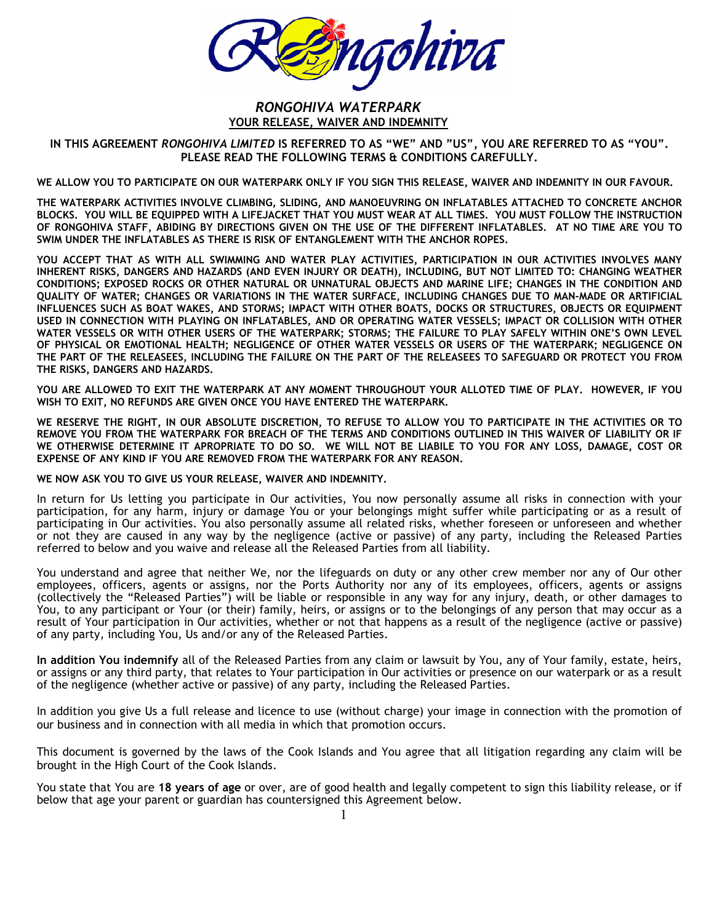

## RONGOHIVA WATERPARK YOUR RELEASE, WAIVER AND INDEMNITY

IN THIS AGREEMENT RONGOHIVA LIMITED IS REFERRED TO AS "WE" AND "US", YOU ARE REFERRED TO AS "YOU". PLEASE READ THE FOLLOWING TERMS & CONDITIONS CAREFULLY.

WE ALLOW YOU TO PARTICIPATE ON OUR WATERPARK ONLY IF YOU SIGN THIS RELEASE, WAIVER AND INDEMNITY IN OUR FAVOUR.

THE WATERPARK ACTIVITIES INVOLVE CLIMBING, SLIDING, AND MANOEUVRING ON INFLATABLES ATTACHED TO CONCRETE ANCHOR BLOCKS. YOU WILL BE EQUIPPED WITH A LIFEJACKET THAT YOU MUST WEAR AT ALL TIMES. YOU MUST FOLLOW THE INSTRUCTION OF RONGOHIVA STAFF, ABIDING BY DIRECTIONS GIVEN ON THE USE OF THE DIFFERENT INFLATABLES. AT NO TIME ARE YOU TO SWIM UNDER THE INFLATABLES AS THERE IS RISK OF ENTANGLEMENT WITH THE ANCHOR ROPES.

YOU ACCEPT THAT AS WITH ALL SWIMMING AND WATER PLAY ACTIVITIES, PARTICIPATION IN OUR ACTIVITIES INVOLVES MANY INHERENT RISKS, DANGERS AND HAZARDS (AND EVEN INJURY OR DEATH), INCLUDING, BUT NOT LIMITED TO: CHANGING WEATHER CONDITIONS; EXPOSED ROCKS OR OTHER NATURAL OR UNNATURAL OBJECTS AND MARINE LIFE; CHANGES IN THE CONDITION AND QUALITY OF WATER; CHANGES OR VARIATIONS IN THE WATER SURFACE, INCLUDING CHANGES DUE TO MAN-MADE OR ARTIFICIAL INFLUENCES SUCH AS BOAT WAKES, AND STORMS; IMPACT WITH OTHER BOATS, DOCKS OR STRUCTURES, OBJECTS OR EQUIPMENT USED IN CONNECTION WITH PLAYING ON INFLATABLES, AND OR OPERATING WATER VESSELS; IMPACT OR COLLISION WITH OTHER WATER VESSELS OR WITH OTHER USERS OF THE WATERPARK; STORMS; THE FAILURE TO PLAY SAFELY WITHIN ONE'S OWN LEVEL OF PHYSICAL OR EMOTIONAL HEALTH; NEGLIGENCE OF OTHER WATER VESSELS OR USERS OF THE WATERPARK; NEGLIGENCE ON THE PART OF THE RELEASEES, INCLUDING THE FAILURE ON THE PART OF THE RELEASEES TO SAFEGUARD OR PROTECT YOU FROM THE RISKS, DANGERS AND HAZARDS.

YOU ARE ALLOWED TO EXIT THE WATERPARK AT ANY MOMENT THROUGHOUT YOUR ALLOTED TIME OF PLAY. HOWEVER, IF YOU WISH TO EXIT, NO REFUNDS ARE GIVEN ONCE YOU HAVE ENTERED THE WATERPARK.

WE RESERVE THE RIGHT, IN OUR ABSOLUTE DISCRETION, TO REFUSE TO ALLOW YOU TO PARTICIPATE IN THE ACTIVITIES OR TO REMOVE YOU FROM THE WATERPARK FOR BREACH OF THE TERMS AND CONDITIONS OUTLINED IN THIS WAIVER OF LIABILITY OR IF WE OTHERWISE DETERMINE IT APROPRIATE TO DO SO. WE WILL NOT BE LIABILE TO YOU FOR ANY LOSS, DAMAGE, COST OR EXPENSE OF ANY KIND IF YOU ARE REMOVED FROM THE WATERPARK FOR ANY REASON.

WE NOW ASK YOU TO GIVE US YOUR RELEASE, WAIVER AND INDEMNITY.

In return for Us letting you participate in Our activities, You now personally assume all risks in connection with your participation, for any harm, injury or damage You or your belongings might suffer while participating or as a result of participating in Our activities. You also personally assume all related risks, whether foreseen or unforeseen and whether or not they are caused in any way by the negligence (active or passive) of any party, including the Released Parties referred to below and you waive and release all the Released Parties from all liability.

You understand and agree that neither We, nor the lifeguards on duty or any other crew member nor any of Our other employees, officers, agents or assigns, nor the Ports Authority nor any of its employees, officers, agents or assigns (collectively the "Released Parties") will be liable or responsible in any way for any injury, death, or other damages to You, to any participant or Your (or their) family, heirs, or assigns or to the belongings of any person that may occur as a result of Your participation in Our activities, whether or not that happens as a result of the negligence (active or passive) of any party, including You, Us and/or any of the Released Parties.

In addition You indemnify all of the Released Parties from any claim or lawsuit by You, any of Your family, estate, heirs, or assigns or any third party, that relates to Your participation in Our activities or presence on our waterpark or as a result of the negligence (whether active or passive) of any party, including the Released Parties.

In addition you give Us a full release and licence to use (without charge) your image in connection with the promotion of our business and in connection with all media in which that promotion occurs.

This document is governed by the laws of the Cook Islands and You agree that all litigation regarding any claim will be brought in the High Court of the Cook Islands.

You state that You are 18 years of age or over, are of good health and legally competent to sign this liability release, or if below that age your parent or guardian has countersigned this Agreement below.